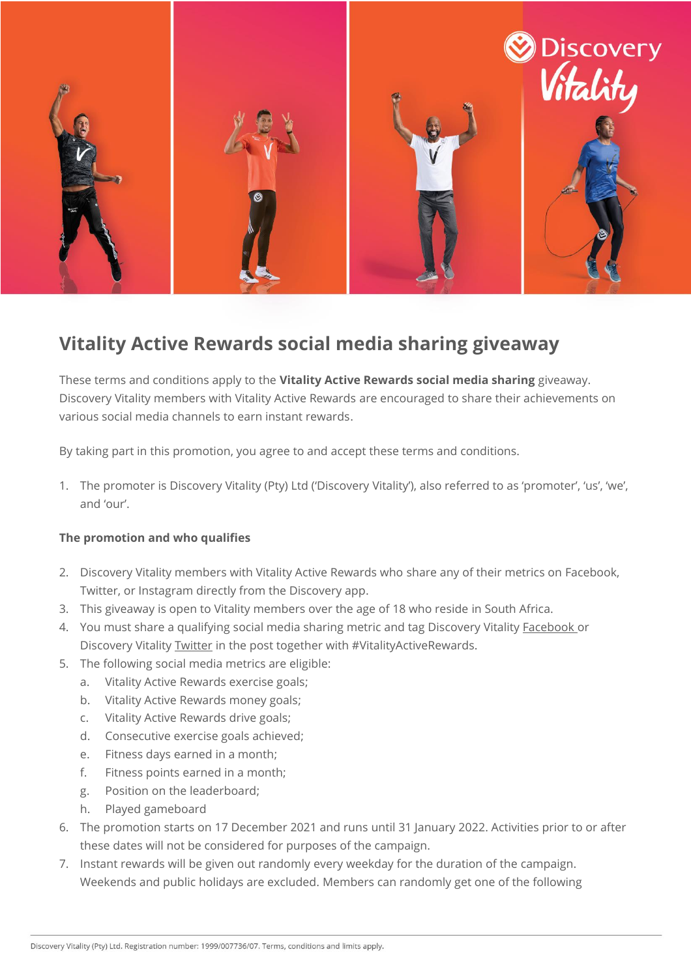

## **Vitality Active Rewards social media sharing giveaway**

These terms and conditions apply to the **Vitality Active Rewards social media sharing** giveaway. Discovery Vitality members with Vitality Active Rewards are encouraged to share their achievements on various social media channels to earn instant rewards.

By taking part in this promotion, you agree to and accept these terms and conditions.

1. The promoter is Discovery Vitality (Pty) Ltd ('Discovery Vitality'), also referred to as 'promoter', 'us', 'we', and 'our'.

## **The promotion and who qualifies**

- 2. Discovery Vitality members with Vitality Active Rewards who share any of their metrics on Facebook, Twitter, or Instagram directly from the Discovery app.
- 3. This giveaway is open to Vitality members over the age of 18 who reside in South Africa.
- 4. You must share a qualifying social media sharing metric and tag Discovery Vitality [Facebook](https://www.facebook.com/discoveryvitality) or Discovery Vitality [Twitter](https://twitter.com/Vitality_SA) in the post together with #VitalityActiveRewards.
- 5. The following social media metrics are eligible:
	- a. Vitality Active Rewards exercise goals;
	- b. Vitality Active Rewards money goals;
	- c. Vitality Active Rewards drive goals;
	- d. Consecutive exercise goals achieved;
	- e. Fitness days earned in a month;
	- f. Fitness points earned in a month;
	- g. Position on the leaderboard;
	- h. Played gameboard
- 6. The promotion starts on 17 December 2021 and runs until 31 January 2022. Activities prior to or after these dates will not be considered for purposes of the campaign.
- 7. Instant rewards will be given out randomly every weekday for the duration of the campaign. Weekends and public holidays are excluded. Members can randomly get one of the following